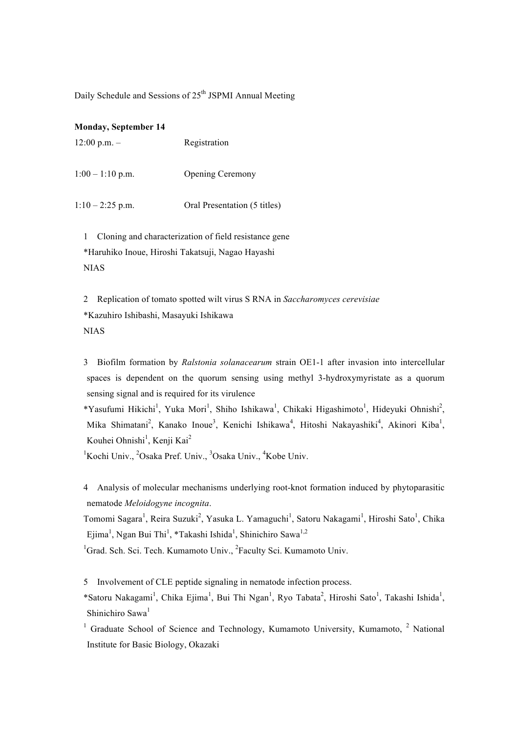Daily Schedule and Sessions of 25<sup>th</sup> JSPMI Annual Meeting

#### **Monday, September 14**

| $12:00$ p.m. $-$ | Registration |
|------------------|--------------|
|------------------|--------------|

1:00 – 1:10 p.m. Opening Ceremony

 $1:10-2:25$  p.m. Oral Presentation (5 titles)

1 Cloning and characterization of field resistance gene \*Haruhiko Inoue, Hiroshi Takatsuji, Nagao Hayashi NIAS

2 Replication of tomato spotted wilt virus S RNA in *Saccharomyces cerevisiae* \*Kazuhiro Ishibashi, Masayuki Ishikawa NIAS

3 Biofilm formation by *Ralstonia solanacearum* strain OE1-1 after invasion into intercellular spaces is dependent on the quorum sensing using methyl 3-hydroxymyristate as a quorum sensing signal and is required for its virulence

\*Yasufumi Hikichi<sup>1</sup>, Yuka Mori<sup>1</sup>, Shiho Ishikawa<sup>1</sup>, Chikaki Higashimoto<sup>1</sup>, Hideyuki Ohnishi<sup>2</sup>, Mika Shimatani<sup>2</sup>, Kanako Inoue<sup>3</sup>, Kenichi Ishikawa<sup>4</sup>, Hitoshi Nakayashiki<sup>4</sup>, Akinori Kiba<sup>1</sup>, Kouhei Ohnishi<sup>1</sup>, Kenji Kai<sup>2</sup>

<sup>1</sup>Kochi Univ., <sup>2</sup>Osaka Pref. Univ., <sup>3</sup>Osaka Univ., <sup>4</sup>Kobe Univ.

4 Analysis of molecular mechanisms underlying root-knot formation induced by phytoparasitic nematode *Meloidogyne incognita*.

Tomomi Sagara<sup>1</sup>, Reira Suzuki<sup>2</sup>, Yasuka L. Yamaguchi<sup>1</sup>, Satoru Nakagami<sup>1</sup>, Hiroshi Sato<sup>1</sup>, Chika Ejima<sup>1</sup>, Ngan Bui Thi<sup>1</sup>, \*Takashi Ishida<sup>1</sup>, Shinichiro Sawa<sup>1,2</sup>

<sup>1</sup>Grad. Sch. Sci. Tech. Kumamoto Univ., <sup>2</sup>Faculty Sci. Kumamoto Univ.

5 Involvement of CLE peptide signaling in nematode infection process.

\*Satoru Nakagami<sup>1</sup>, Chika Ejima<sup>1</sup>, Bui Thi Ngan<sup>1</sup>, Ryo Tabata<sup>2</sup>, Hiroshi Sato<sup>1</sup>, Takashi Ishida<sup>1</sup>, Shinichiro Sawa<sup>1</sup>

<sup>1</sup> Graduate School of Science and Technology, Kumamoto University, Kumamoto.<sup>2</sup> National Institute for Basic Biology, Okazaki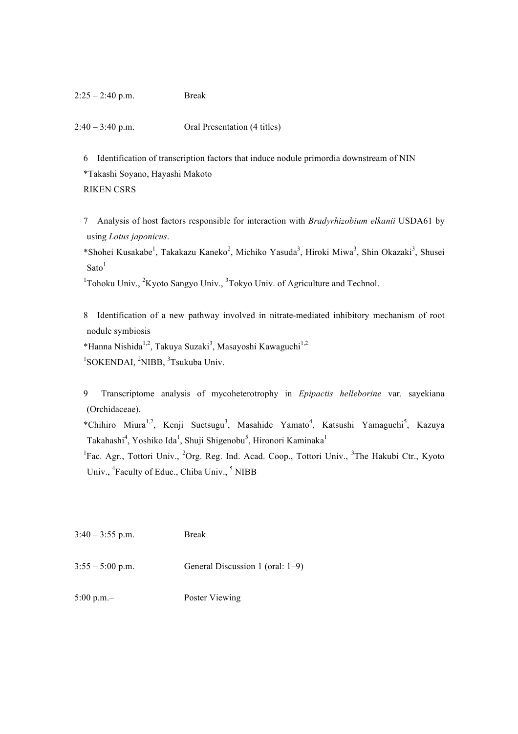2:40 – 3:40 p.m. Oral Presentation (4 titles)

6 Identification of transcription factors that induce nodule primordia downstream of NIN \*Takashi Soyano, Hayashi Makoto RIKEN CSRS

7 Analysis of host factors responsible for interaction with *Bradyrhizobium elkanii* USDA61 by using *Lotus japonicus*.

\*Shohei Kusakabe<sup>1</sup>, Takakazu Kaneko<sup>2</sup>, Michiko Yasuda<sup>3</sup>, Hiroki Miwa<sup>3</sup>, Shin Okazaki<sup>3</sup>, Shusei  $Sato<sup>1</sup>$ 

<sup>1</sup>Tohoku Univ., <sup>2</sup>Kyoto Sangyo Univ., <sup>3</sup>Tokyo Univ. of Agriculture and Technol.

8 Identification of a new pathway involved in nitrate-mediated inhibitory mechanism of root nodule symbiosis

\*Hanna Nishida<sup>1,2</sup>, Takuya Suzaki<sup>3</sup>, Masayoshi Kawaguchi<sup>1,2</sup> <sup>1</sup>SOKENDAI, <sup>2</sup>NIBB, <sup>3</sup>Tsukuba Univ.

9 Transcriptome analysis of mycoheterotrophy in *Epipactis helleborine* var. sayekiana (Orchidaceae).

\*Chihiro Miura<sup>1,2</sup>, Kenji Suetsugu<sup>3</sup>, Masahide Yamato<sup>4</sup>, Katsushi Yamaguchi<sup>5</sup>, Kazuya Takahashi<sup>4</sup>, Yoshiko Ida<sup>1</sup>, Shuji Shigenobu<sup>5</sup>, Hironori Kaminaka<sup>1</sup>

<sup>1</sup>Fac. Agr., Tottori Univ., <sup>2</sup>Org. Reg. Ind. Acad. Coop., Tottori Univ., <sup>3</sup>The Hakubi Ctr., Kyoto Univ., <sup>4</sup>Faculty of Educ., Chiba Univ., <sup>5</sup> NIBB

3:40 – 3:55 p.m. Break

 $3:55 - 5:00$  p.m. General Discussion 1 (oral: 1–9)

5:00 p.m.– Poster Viewing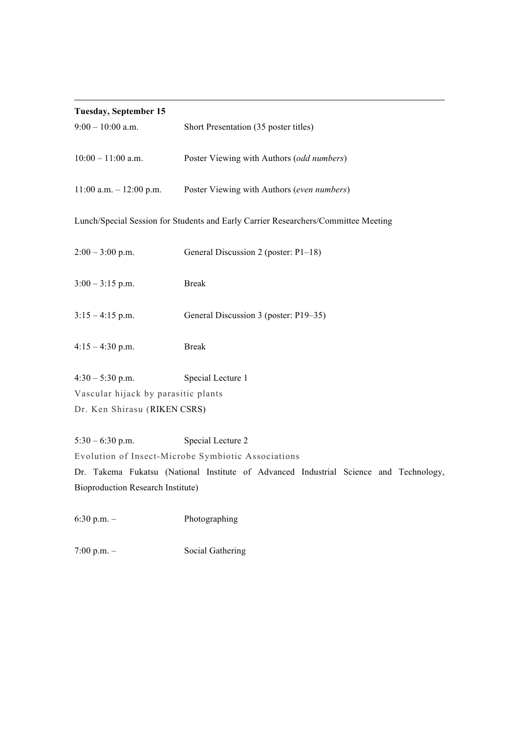# **Tuesday, September 15**

| $9:00 - 10:00$ a.m.                                                                | Short Presentation (35 poster titles)                                                 |  |  |
|------------------------------------------------------------------------------------|---------------------------------------------------------------------------------------|--|--|
| $10:00 - 11:00$ a.m.                                                               | Poster Viewing with Authors (odd numbers)                                             |  |  |
| $11:00$ a.m. $-12:00$ p.m.                                                         | Poster Viewing with Authors (even numbers)                                            |  |  |
| Lunch/Special Session for Students and Early Carrier Researchers/Committee Meeting |                                                                                       |  |  |
| $2:00 - 3:00$ p.m.                                                                 | General Discussion 2 (poster: P1-18)                                                  |  |  |
| $3:00 - 3:15$ p.m.                                                                 | <b>Break</b>                                                                          |  |  |
| $3:15-4:15$ p.m.                                                                   | General Discussion 3 (poster: P19–35)                                                 |  |  |
| $4:15 - 4:30$ p.m.                                                                 | <b>Break</b>                                                                          |  |  |
| $4:30 - 5:30$ p.m.                                                                 | Special Lecture 1                                                                     |  |  |
| Vascular hijack by parasitic plants                                                |                                                                                       |  |  |
| Dr. Ken Shirasu (RIKEN CSRS)                                                       |                                                                                       |  |  |
| $5:30 - 6:30$ p.m.                                                                 | Special Lecture 2                                                                     |  |  |
| Evolution of Insect-Microbe Symbiotic Associations                                 |                                                                                       |  |  |
|                                                                                    | Dr. Takema Fukatsu (National Institute of Advanced Industrial Science and Technology, |  |  |

 

Bioproduction Research Institute)

6:30 p.m. – Photographing

7:00 p.m. – Social Gathering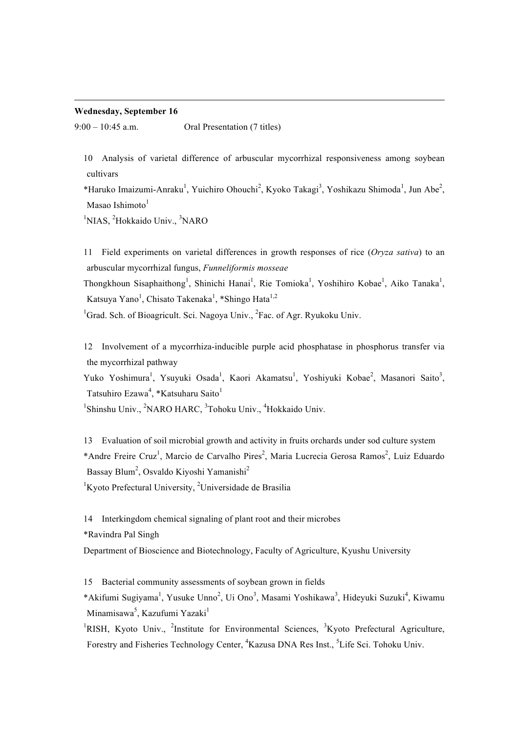#### **Wednesday, September 16**

9:00 – 10:45 a.m. Oral Presentation (7 titles)

10 Analysis of varietal difference of arbuscular mycorrhizal responsiveness among soybean cultivars

 

\*Haruko Imaizumi-Anraku<sup>1</sup>, Yuichiro Ohouchi<sup>2</sup>, Kyoko Takagi<sup>3</sup>, Yoshikazu Shimoda<sup>1</sup>, Jun Abe<sup>2</sup>, Masao Ishimoto $1$ 

<sup>1</sup>NIAS, <sup>2</sup>Hokkaido Univ., <sup>3</sup>NARO

11 Field experiments on varietal differences in growth responses of rice (*Oryza sativa*) to an arbuscular mycorrhizal fungus, *Funneliformis mosseae*

Thongkhoun Sisaphaithong<sup>1</sup>, Shinichi Hanai<sup>1</sup>, Rie Tomioka<sup>1</sup>, Yoshihiro Kobae<sup>1</sup>, Aiko Tanaka<sup>1</sup>, Katsuya Yano<sup>1</sup>, Chisato Takenaka<sup>1</sup>, \*Shingo Hata<sup>1,2</sup>

<sup>1</sup>Grad. Sch. of Bioagricult. Sci. Nagoya Univ., <sup>2</sup>Fac. of Agr. Ryukoku Univ.

12 Involvement of a mycorrhiza-inducible purple acid phosphatase in phosphorus transfer via the mycorrhizal pathway

Yuko Yoshimura<sup>1</sup>, Ysuyuki Osada<sup>1</sup>, Kaori Akamatsu<sup>1</sup>, Yoshiyuki Kobae<sup>2</sup>, Masanori Saito<sup>3</sup>, Tatsuhiro Ezawa<sup>4</sup>, \*Katsuharu Saito<sup>1</sup>

<sup>1</sup>Shinshu Univ., <sup>2</sup>NARO HARC, <sup>3</sup>Tohoku Univ., <sup>4</sup>Hokkaido Univ.

13 Evaluation of soil microbial growth and activity in fruits orchards under sod culture system \*Andre Freire Cruz<sup>1</sup>, Marcio de Carvalho Pires<sup>2</sup>, Maria Lucrecia Gerosa Ramos<sup>2</sup>, Luiz Eduardo Bassay Blum<sup>2</sup>, Osvaldo Kiyoshi Yamanishi<sup>2</sup>

 ${}^{1}$ Kyoto Prefectural University, <sup>2</sup>Universidade de Brasilia

14 Interkingdom chemical signaling of plant root and their microbes

\*Ravindra Pal Singh

Department of Bioscience and Biotechnology, Faculty of Agriculture, Kyushu University

15 Bacterial community assessments of soybean grown in fields

\*Akifumi Sugiyama<sup>1</sup>, Yusuke Unno<sup>2</sup>, Ui Ono<sup>3</sup>, Masami Yoshikawa<sup>3</sup>, Hideyuki Suzuki<sup>4</sup>, Kiwamu Minamisawa<sup>5</sup>, Kazufumi Yazaki<sup>1</sup>

<sup>1</sup>RISH, Kyoto Univ., <sup>2</sup>Institute for Environmental Sciences, <sup>3</sup>Kyoto Prefectural Agriculture, Forestry and Fisheries Technology Center, <sup>4</sup>Kazusa DNA Res Inst., <sup>5</sup>Life Sci. Tohoku Univ.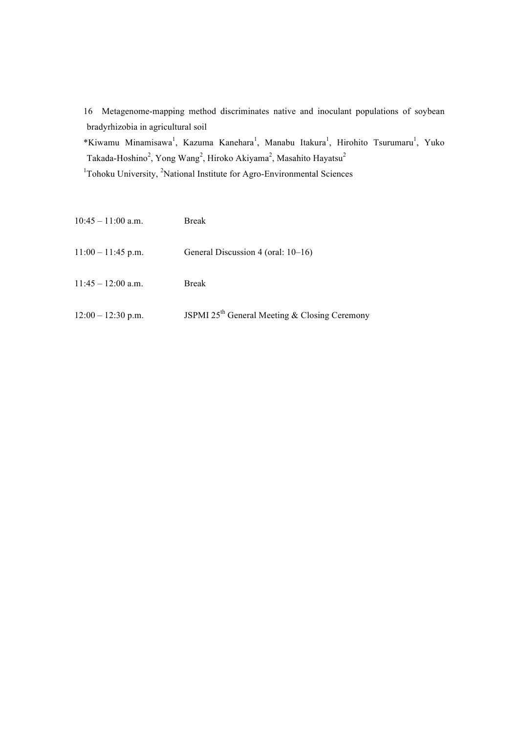16 Metagenome-mapping method discriminates native and inoculant populations of soybean bradyrhizobia in agricultural soil

\*Kiwamu Minamisawa<sup>1</sup>, Kazuma Kanehara<sup>1</sup>, Manabu Itakura<sup>1</sup>, Hirohito Tsurumaru<sup>1</sup>, Yuko Takada-Hoshino<sup>2</sup>, Yong Wang<sup>2</sup>, Hiroko Akiyama<sup>2</sup>, Masahito Hayatsu<sup>2</sup>

<sup>1</sup>Tohoku University, <sup>2</sup>National Institute for Agro-Environmental Sciences

| $10:45 - 11:00$ a.m. | <b>Break</b>                                              |
|----------------------|-----------------------------------------------------------|
| $11:00 - 11:45$ p.m. | General Discussion 4 (oral: 10–16)                        |
| $11:45 - 12:00$ a.m. | Break                                                     |
| $12:00 - 12:30$ p.m. | JSPMI 25 <sup>th</sup> General Meeting & Closing Ceremony |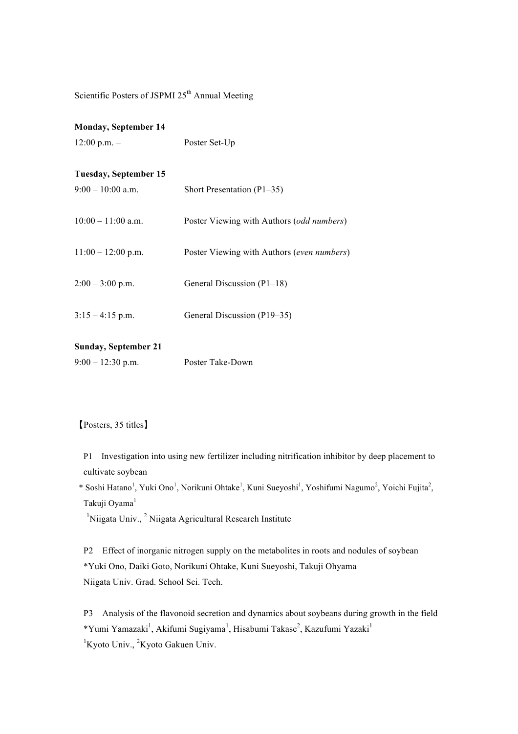Scientific Posters of JSPMI 25<sup>th</sup> Annual Meeting

## **Monday, September 14**

12:00 p.m. – Poster Set-Up

## **Tuesday, September 15**

| $9:00 - 10:00$ a.m.  | Short Presentation $(P1-35)$                       |
|----------------------|----------------------------------------------------|
| $10:00 - 11:00$ a.m. | Poster Viewing with Authors ( <i>odd numbers</i> ) |
| $11:00 - 12:00$ p.m. | Poster Viewing with Authors (even numbers)         |
| $2:00 - 3:00$ p.m.   | General Discussion (P1-18)                         |
| $3:15 - 4:15$ p.m.   | General Discussion (P19–35)                        |

### **Sunday, September 21**

| $9:00 - 12:30$ p.m. | Poster Take-Down |
|---------------------|------------------|
|---------------------|------------------|

# 【Posters, 35 titles】

P1 Investigation into using new fertilizer including nitrification inhibitor by deep placement to cultivate soybean

\* Soshi Hatano<sup>1</sup>, Yuki Ono<sup>1</sup>, Norikuni Ohtake<sup>1</sup>, Kuni Sueyoshi<sup>1</sup>, Yoshifumi Nagumo<sup>2</sup>, Yoichi Fujita<sup>2</sup>, Takuii Ovama<sup>1</sup>

<sup>1</sup>Niigata Univ., <sup>2</sup> Niigata Agricultural Research Institute

P2 Effect of inorganic nitrogen supply on the metabolites in roots and nodules of soybean \*Yuki Ono, Daiki Goto, Norikuni Ohtake, Kuni Sueyoshi, Takuji Ohyama Niigata Univ. Grad. School Sci. Tech.

P3 Analysis of the flavonoid secretion and dynamics about soybeans during growth in the field \*Yumi Yamazaki<sup>1</sup>, Akifumi Sugiyama<sup>1</sup>, Hisabumi Takase<sup>2</sup>, Kazufumi Yazaki<sup>1</sup> <sup>1</sup>Kyoto Univ., <sup>2</sup>Kyoto Gakuen Univ.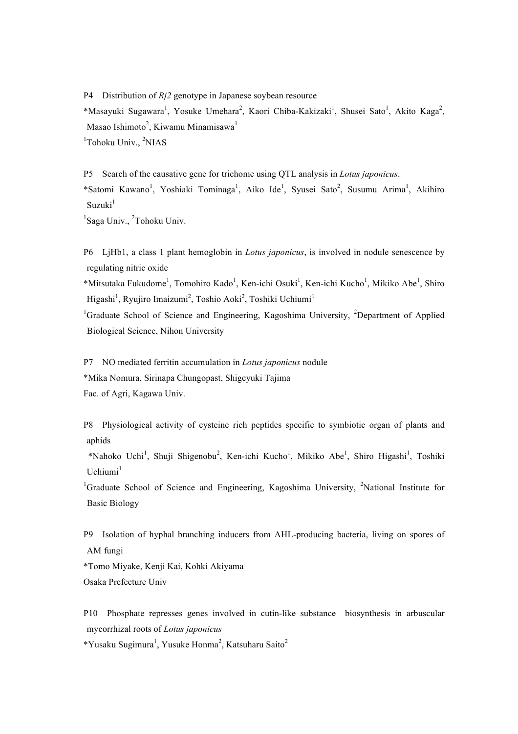P4 Distribution of *Rj2* genotype in Japanese soybean resource \*Masayuki Sugawara<sup>1</sup>, Yosuke Umehara<sup>2</sup>, Kaori Chiba-Kakizaki<sup>1</sup>, Shusei Sato<sup>1</sup>, Akito Kaga<sup>2</sup>, Masao Ishimoto $^2$ , Kiwamu Minamisawa $^1$ <sup>1</sup>Tohoku Univ., <sup>2</sup>NIAS

P5 Search of the causative gene for trichome using QTL analysis in *Lotus japonicus*. \*Satomi Kawano<sup>1</sup>, Yoshiaki Tominaga<sup>1</sup>, Aiko Ide<sup>1</sup>, Syusei Sato<sup>2</sup>, Susumu Arima<sup>1</sup>, Akihiro  $Suzuki<sup>1</sup>$ 

<sup>1</sup>Saga Univ., <sup>2</sup>Tohoku Univ.

P6 LjHb1, a class 1 plant hemoglobin in *Lotus japonicus*, is involved in nodule senescence by regulating nitric oxide

\*Mitsutaka Fukudome<sup>1</sup>, Tomohiro Kado<sup>1</sup>, Ken-ichi Osuki<sup>1</sup>, Ken-ichi Kucho<sup>1</sup>, Mikiko Abe<sup>1</sup>, Shiro Higashi<sup>1</sup>, Ryujiro Imaizumi<sup>2</sup>, Toshio Aoki<sup>2</sup>, Toshiki Uchiumi<sup>1</sup>

<sup>1</sup>Graduate School of Science and Engineering, Kagoshima University, <sup>2</sup>Department of Applied Biological Science, Nihon University

P7 NO mediated ferritin accumulation in *Lotus japonicus* nodule \*Mika Nomura, Sirinapa Chungopast, Shigeyuki Tajima Fac. of Agri, Kagawa Univ.

P8 Physiological activity of cysteine rich peptides specific to symbiotic organ of plants and aphids

\*Nahoko Uchi<sup>1</sup>, Shuji Shigenobu<sup>2</sup>, Ken-ichi Kucho<sup>1</sup>, Mikiko Abe<sup>1</sup>, Shiro Higashi<sup>1</sup>, Toshiki  $U$ chiumi $<sup>1</sup>$ </sup>

<sup>1</sup>Graduate School of Science and Engineering, Kagoshima University, <sup>2</sup>National Institute for Basic Biology

P9 Isolation of hyphal branching inducers from AHL-producing bacteria, living on spores of AM fungi

\*Tomo Miyake, Kenji Kai, Kohki Akiyama Osaka Prefecture Univ

P10 Phosphate represses genes involved in cutin-like substance biosynthesis in arbuscular mycorrhizal roots of *Lotus japonicus*

 $*Y$ usaku Sugimura<sup>1</sup>, Yusuke Honma<sup>2</sup>, Katsuharu Saito<sup>2</sup>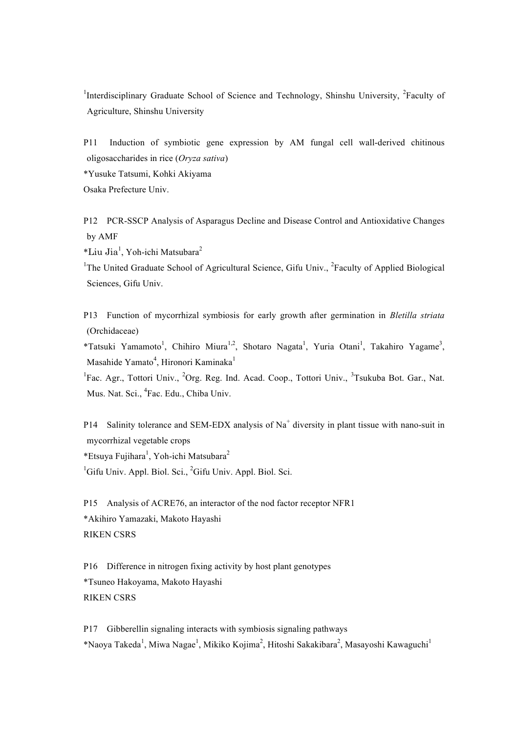<sup>1</sup>Interdisciplinary Graduate School of Science and Technology, Shinshu University, <sup>2</sup>Faculty of Agriculture, Shinshu University

P11 Induction of symbiotic gene expression by AM fungal cell wall-derived chitinous oligosaccharides in rice (*Oryza sativa*)

\*Yusuke Tatsumi, Kohki Akiyama

Osaka Prefecture Univ.

P12 PCR-SSCP Analysis of Asparagus Decline and Disease Control and Antioxidative Changes by AMF

\*Liu Jia<sup>1</sup> , Yoh-ichi Matsubara<sup>2</sup>

<sup>1</sup>The United Graduate School of Agricultural Science, Gifu Univ., <sup>2</sup>Faculty of Applied Biological Sciences, Gifu Univ.

P13 Function of mycorrhizal symbiosis for early growth after germination in *Bletilla striata* (Orchidaceae)

\*Tatsuki Yamamoto<sup>1</sup>, Chihiro Miura<sup>1,2</sup>, Shotaro Nagata<sup>1</sup>, Yuria Otani<sup>1</sup>, Takahiro Yagame<sup>3</sup>, Masahide Yamato<sup>4</sup>, Hironori Kaminaka<sup>1</sup>

<sup>1</sup>Fac. Agr., Tottori Univ., <sup>2</sup>Org. Reg. Ind. Acad. Coop., Tottori Univ., <sup>3</sup>Tsukuba Bot. Gar., Nat. Mus. Nat. Sci., <sup>4</sup>Fac. Edu., Chiba Univ.

P14 Salinity tolerance and SEM-EDX analysis of  $Na<sup>+</sup>$  diversity in plant tissue with nano-suit in mycorrhizal vegetable crops \*Etsuya Fujihara<sup>1</sup>, Yoh-ichi Matsubara<sup>2</sup>

<sup>1</sup>Gifu Univ. Appl. Biol. Sci., <sup>2</sup>Gifu Univ. Appl. Biol. Sci.

P15 Analysis of ACRE76, an interactor of the nod factor receptor NFR1 \*Akihiro Yamazaki, Makoto Hayashi RIKEN CSRS

P16 Difference in nitrogen fixing activity by host plant genotypes \*Tsuneo Hakoyama, Makoto Hayashi RIKEN CSRS

P17 Gibberellin signaling interacts with symbiosis signaling pathways \*Naoya Takeda<sup>1</sup>, Miwa Nagae<sup>1</sup>, Mikiko Kojima<sup>2</sup>, Hitoshi Sakakibara<sup>2</sup>, Masayoshi Kawaguchi<sup>1</sup>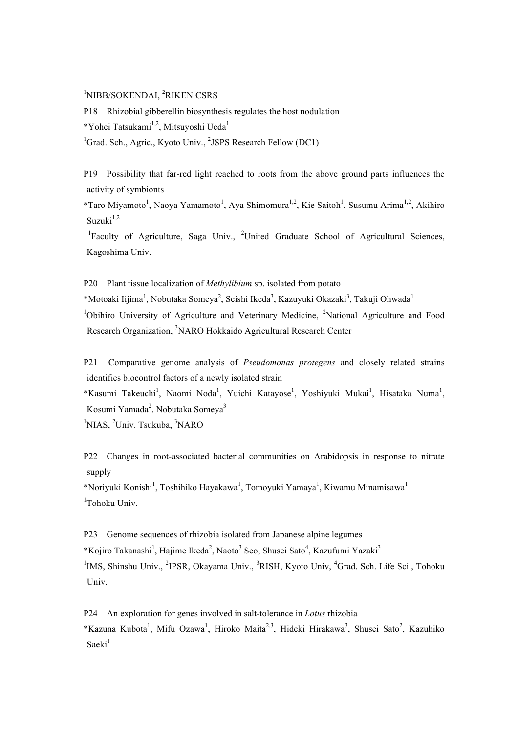# <sup>1</sup>NIBB/SOKENDAI, <sup>2</sup>RIKEN CSRS

P18 Rhizobial gibberellin biosynthesis regulates the host nodulation \*Yohei Tatsukami<sup>1,2</sup>, Mitsuyoshi Ueda<sup>1</sup> <sup>1</sup>Grad. Sch., Agric., Kyoto Univ., <sup>2</sup>JSPS Research Fellow (DC1)

P19 Possibility that far-red light reached to roots from the above ground parts influences the activity of symbionts

\*Taro Miyamoto<sup>1</sup>, Naoya Yamamoto<sup>1</sup>, Aya Shimomura<sup>1,2</sup>, Kie Saitoh<sup>1</sup>, Susumu Arima<sup>1,2</sup>, Akihiro Suzuki $1,2$ 

<sup>1</sup>Faculty of Agriculture, Saga Univ., <sup>2</sup>United Graduate School of Agricultural Sciences, Kagoshima Univ.

P20 Plant tissue localization of *Methylibium* sp. isolated from potato \*Motoaki Iijima<sup>1</sup>, Nobutaka Someya<sup>2</sup>, Seishi Ikeda<sup>3</sup>, Kazuyuki Okazaki<sup>3</sup>, Takuji Ohwada<sup>1</sup> <sup>1</sup>Obihiro University of Agriculture and Veterinary Medicine, <sup>2</sup>National Agriculture and Food Research Organization, <sup>3</sup>NARO Hokkaido Agricultural Research Center

P21 Comparative genome analysis of *Pseudomonas protegens* and closely related strains identifies biocontrol factors of a newly isolated strain

\*Kasumi Takeuchi<sup>1</sup>, Naomi Noda<sup>1</sup>, Yuichi Katayose<sup>1</sup>, Yoshiyuki Mukai<sup>1</sup>, Hisataka Numa<sup>1</sup>, Kosumi Yamada<sup>2</sup>, Nobutaka Someya<sup>3</sup>

<sup>1</sup>NIAS, <sup>2</sup>Univ. Tsukuba, <sup>3</sup>NARO

P22 Changes in root-associated bacterial communities on Arabidopsis in response to nitrate supply

\*Noriyuki Konishi<sup>1</sup>, Toshihiko Hayakawa<sup>1</sup>, Tomoyuki Yamaya<sup>1</sup>, Kiwamu Minamisawa<sup>1</sup> <sup>1</sup>Tohoku Univ.

P23 Genome sequences of rhizobia isolated from Japanese alpine legumes \*Kojiro Takanashi<sup>1</sup>, Hajime Ikeda<sup>2</sup>, Naoto<sup>3</sup> Seo, Shusei Sato<sup>4</sup>, Kazufumi Yazaki<sup>3</sup> <sup>1</sup>IMS, Shinshu Univ., <sup>2</sup>IPSR, Okayama Univ., <sup>3</sup>RISH, Kyoto Univ, <sup>4</sup>Grad. Sch. Life Sci., Tohoku Univ.

P24 An exploration for genes involved in salt-tolerance in *Lotus* rhizobia \*Kazuna Kubota<sup>1</sup>, Mifu Ozawa<sup>1</sup>, Hiroko Maita<sup>2,3</sup>, Hideki Hirakawa<sup>3</sup>, Shusei Sato<sup>2</sup>, Kazuhiko  $Sacki<sup>1</sup>$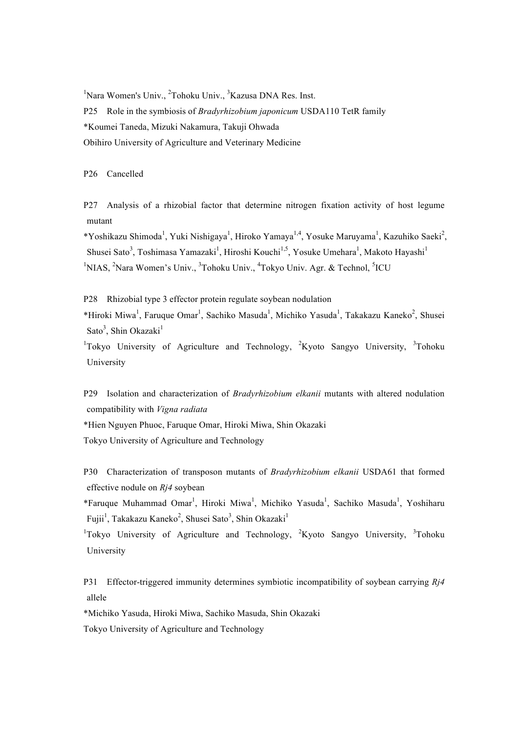<sup>1</sup>Nara Women's Univ., <sup>2</sup>Tohoku Univ., <sup>3</sup>Kazusa DNA Res. Inst. P25 Role in the symbiosis of *Bradyrhizobium japonicum* USDA110 TetR family \*Koumei Taneda, Mizuki Nakamura, Takuji Ohwada Obihiro University of Agriculture and Veterinary Medicine

P26 Cancelled

P27 Analysis of a rhizobial factor that determine nitrogen fixation activity of host legume mutant

\*Yoshikazu Shimoda<sup>1</sup>, Yuki Nishigaya<sup>1</sup>, Hiroko Yamaya<sup>1,4</sup>, Yosuke Maruyama<sup>1</sup>, Kazuhiko Saeki<sup>2</sup>, Shusei Sato<sup>3</sup>, Toshimasa Yamazaki<sup>1</sup>, Hiroshi Kouchi<sup>1,5</sup>, Yosuke Umehara<sup>1</sup>, Makoto Hayashi<sup>1</sup> <sup>1</sup>NIAS, <sup>2</sup>Nara Women's Univ., <sup>3</sup>Tohoku Univ., <sup>4</sup>Tokyo Univ. Agr. & Technol, <sup>5</sup>ICU

P28 Rhizobial type 3 effector protein regulate soybean nodulation \*Hiroki Miwa<sup>1</sup>, Faruque Omar<sup>1</sup>, Sachiko Masuda<sup>1</sup>, Michiko Yasuda<sup>1</sup>, Takakazu Kaneko<sup>2</sup>, Shusei Sato<sup>3</sup>, Shin Okazaki<sup>1</sup>

<sup>1</sup>Tokyo University of Agriculture and Technology, <sup>2</sup>Kyoto Sangyo University, <sup>3</sup>Tohoku University

P29 Isolation and characterization of *Bradyrhizobium elkanii* mutants with altered nodulation compatibility with *Vigna radiata*

\*Hien Nguyen Phuoc, Faruque Omar, Hiroki Miwa, Shin Okazaki Tokyo University of Agriculture and Technology

P30 Characterization of transposon mutants of *Bradyrhizobium elkanii* USDA61 that formed effective nodule on *Rj4* soybean

\*Faruque Muhammad Omar<sup>1</sup>, Hiroki Miwa<sup>1</sup>, Michiko Yasuda<sup>1</sup>, Sachiko Masuda<sup>1</sup>, Yoshiharu Fujii<sup>1</sup>, Takakazu Kaneko<sup>2</sup>, Shusei Sato<sup>3</sup>, Shin Okazaki<sup>1</sup>

<sup>1</sup>Tokyo University of Agriculture and Technology, <sup>2</sup>Kyoto Sangyo University, <sup>3</sup>Tohoku University

P31 Effector-triggered immunity determines symbiotic incompatibility of soybean carrying *Rj4* allele

\*Michiko Yasuda, Hiroki Miwa, Sachiko Masuda, Shin Okazaki

Tokyo University of Agriculture and Technology